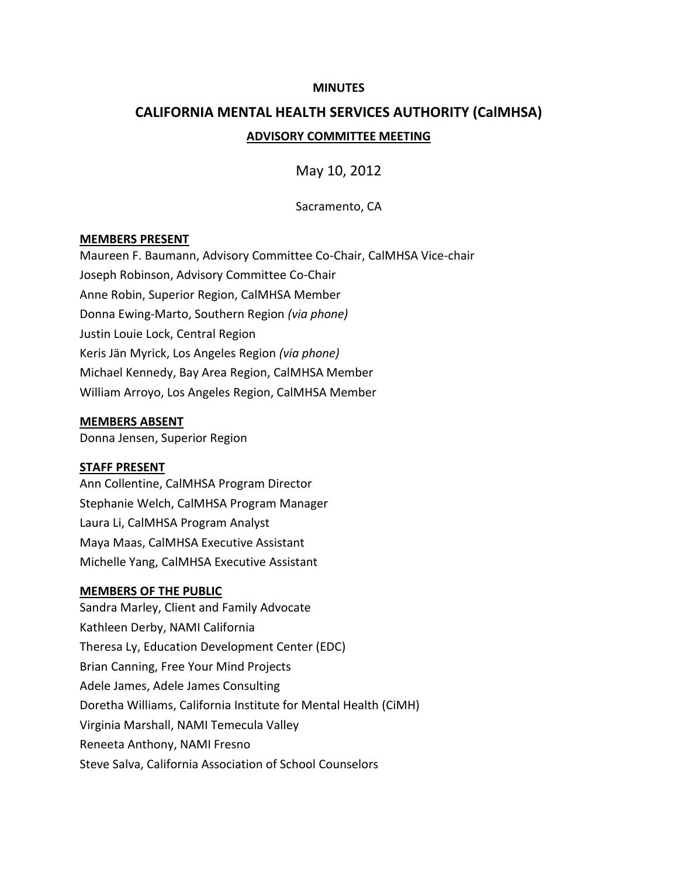#### **MINUTES**

# **CALIFORNIA MENTAL HEALTH SERVICES AUTHORITY (CalMHSA) ADVISORY COMMITTEE MEETING**

May 10, 2012

Sacramento, CA

#### **MEMBERS PRESENT**

Maureen F. Baumann, Advisory Committee Co-Chair, CalMHSA Vice-chair Joseph Robinson, Advisory Committee Co-Chair Anne Robin, Superior Region, CalMHSA Member Donna Ewing-Marto, Southern Region *(via phone)* Justin Louie Lock, Central Region Keris Jän Myrick, Los Angeles Region *(via phone)* Michael Kennedy, Bay Area Region, CalMHSA Member William Arroyo, Los Angeles Region, CalMHSA Member

#### **MEMBERS ABSENT**

Donna Jensen, Superior Region

#### **STAFF PRESENT**

Ann Collentine, CalMHSA Program Director Stephanie Welch, CalMHSA Program Manager Laura Li, CalMHSA Program Analyst Maya Maas, CalMHSA Executive Assistant Michelle Yang, CalMHSA Executive Assistant

#### **MEMBERS OF THE PUBLIC**

Sandra Marley, Client and Family Advocate Kathleen Derby, NAMI California Theresa Ly, Education Development Center (EDC) Brian Canning, Free Your Mind Projects Adele James, Adele James Consulting Doretha Williams, California Institute for Mental Health (CiMH) Virginia Marshall, NAMI Temecula Valley Reneeta Anthony, NAMI Fresno Steve Salva, California Association of School Counselors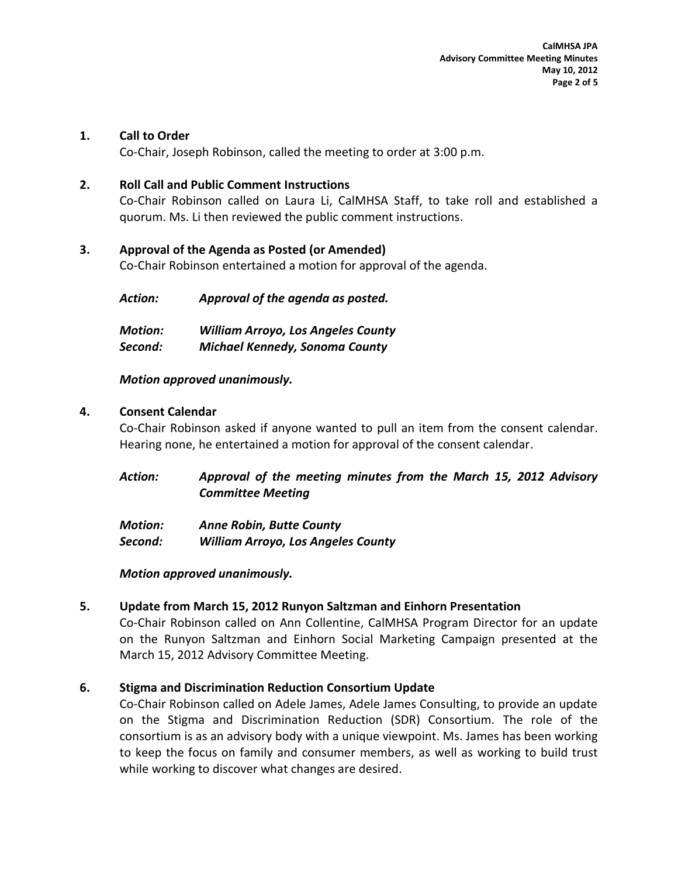#### **1. Call to Order**

Co-Chair, Joseph Robinson, called the meeting to order at 3:00 p.m.

#### **2. Roll Call and Public Comment Instructions**

Co-Chair Robinson called on Laura Li, CalMHSA Staff, to take roll and established a quorum. Ms. Li then reviewed the public comment instructions.

## **3. Approval of the Agenda as Posted (or Amended)**

Co-Chair Robinson entertained a motion for approval of the agenda.

| Action: | Approval of the agenda as posted. |
|---------|-----------------------------------|
|         |                                   |

| <b>Motion:</b> | <b>William Arroyo, Los Angeles County</b> |
|----------------|-------------------------------------------|
| Second:        | <b>Michael Kennedy, Sonoma County</b>     |

## *Motion approved unanimously.*

## **4. Consent Calendar**

Co-Chair Robinson asked if anyone wanted to pull an item from the consent calendar. Hearing none, he entertained a motion for approval of the consent calendar.

*Action: Approval of the meeting minutes from the March 15, 2012 Advisory Committee Meeting*

| <b>Motion:</b> | <b>Anne Robin, Butte County</b>           |
|----------------|-------------------------------------------|
| Second:        | <b>William Arroyo, Los Angeles County</b> |

#### *Motion approved unanimously.*

## **5. Update from March 15, 2012 Runyon Saltzman and Einhorn Presentation**

Co-Chair Robinson called on Ann Collentine, CalMHSA Program Director for an update on the Runyon Saltzman and Einhorn Social Marketing Campaign presented at the March 15, 2012 Advisory Committee Meeting.

## **6. Stigma and Discrimination Reduction Consortium Update**

Co-Chair Robinson called on Adele James, Adele James Consulting, to provide an update on the Stigma and Discrimination Reduction (SDR) Consortium. The role of the consortium is as an advisory body with a unique viewpoint. Ms. James has been working to keep the focus on family and consumer members, as well as working to build trust while working to discover what changes are desired.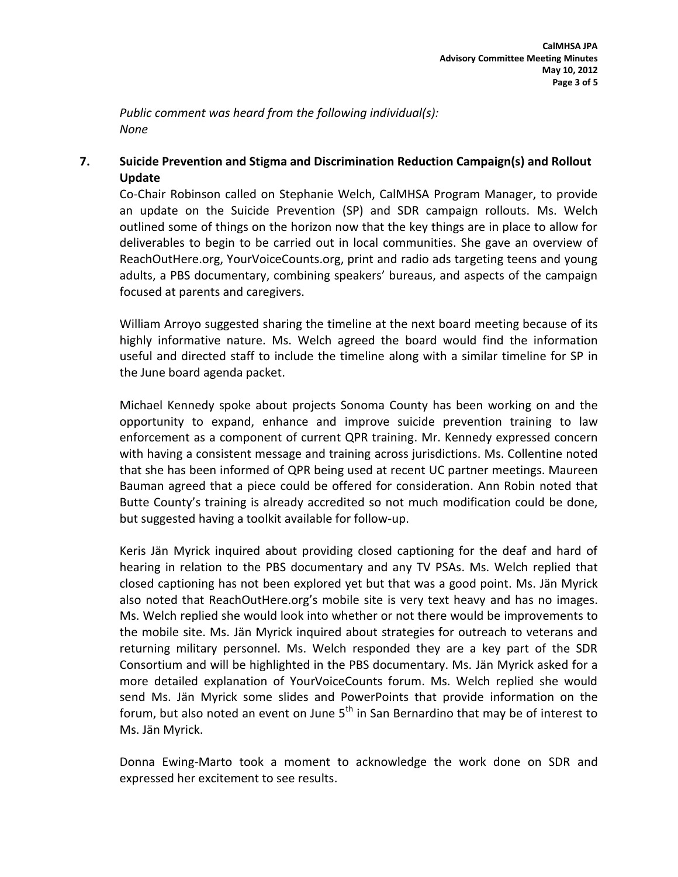*Public comment was heard from the following individual(s): None*

## **7. Suicide Prevention and Stigma and Discrimination Reduction Campaign(s) and Rollout Update**

Co-Chair Robinson called on Stephanie Welch, CalMHSA Program Manager, to provide an update on the Suicide Prevention (SP) and SDR campaign rollouts. Ms. Welch outlined some of things on the horizon now that the key things are in place to allow for deliverables to begin to be carried out in local communities. She gave an overview of ReachOutHere.org, YourVoiceCounts.org, print and radio ads targeting teens and young adults, a PBS documentary, combining speakers' bureaus, and aspects of the campaign focused at parents and caregivers.

William Arroyo suggested sharing the timeline at the next board meeting because of its highly informative nature. Ms. Welch agreed the board would find the information useful and directed staff to include the timeline along with a similar timeline for SP in the June board agenda packet.

Michael Kennedy spoke about projects Sonoma County has been working on and the opportunity to expand, enhance and improve suicide prevention training to law enforcement as a component of current QPR training. Mr. Kennedy expressed concern with having a consistent message and training across jurisdictions. Ms. Collentine noted that she has been informed of QPR being used at recent UC partner meetings. Maureen Bauman agreed that a piece could be offered for consideration. Ann Robin noted that Butte County's training is already accredited so not much modification could be done, but suggested having a toolkit available for follow-up.

Keris Jän Myrick inquired about providing closed captioning for the deaf and hard of hearing in relation to the PBS documentary and any TV PSAs. Ms. Welch replied that closed captioning has not been explored yet but that was a good point. Ms. Jän Myrick also noted that ReachOutHere.org's mobile site is very text heavy and has no images. Ms. Welch replied she would look into whether or not there would be improvements to the mobile site. Ms. Jän Myrick inquired about strategies for outreach to veterans and returning military personnel. Ms. Welch responded they are a key part of the SDR Consortium and will be highlighted in the PBS documentary. Ms. Jän Myrick asked for a more detailed explanation of YourVoiceCounts forum. Ms. Welch replied she would send Ms. Jän Myrick some slides and PowerPoints that provide information on the forum, but also noted an event on June  $5<sup>th</sup>$  in San Bernardino that may be of interest to Ms. Jän Myrick.

Donna Ewing-Marto took a moment to acknowledge the work done on SDR and expressed her excitement to see results.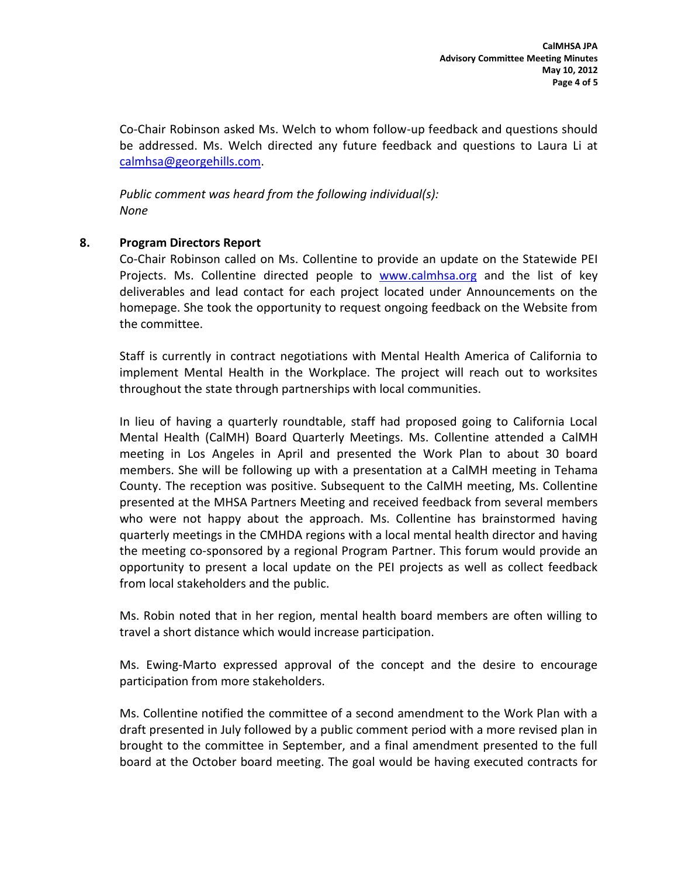Co-Chair Robinson asked Ms. Welch to whom follow-up feedback and questions should be addressed. Ms. Welch directed any future feedback and questions to Laura Li at [calmhsa@georgehills.com.](mailto:calmhsa@georgehills.com)

*Public comment was heard from the following individual(s): None*

## **8. Program Directors Report**

Co-Chair Robinson called on Ms. Collentine to provide an update on the Statewide PEI Projects. Ms. Collentine directed people to [www.calmhsa.org](http://www.calmhsa.org/) and the list of key deliverables and lead contact for each project located under Announcements on the homepage. She took the opportunity to request ongoing feedback on the Website from the committee.

Staff is currently in contract negotiations with Mental Health America of California to implement Mental Health in the Workplace. The project will reach out to worksites throughout the state through partnerships with local communities.

In lieu of having a quarterly roundtable, staff had proposed going to California Local Mental Health (CalMH) Board Quarterly Meetings. Ms. Collentine attended a CalMH meeting in Los Angeles in April and presented the Work Plan to about 30 board members. She will be following up with a presentation at a CalMH meeting in Tehama County. The reception was positive. Subsequent to the CalMH meeting, Ms. Collentine presented at the MHSA Partners Meeting and received feedback from several members who were not happy about the approach. Ms. Collentine has brainstormed having quarterly meetings in the CMHDA regions with a local mental health director and having the meeting co-sponsored by a regional Program Partner. This forum would provide an opportunity to present a local update on the PEI projects as well as collect feedback from local stakeholders and the public.

Ms. Robin noted that in her region, mental health board members are often willing to travel a short distance which would increase participation.

Ms. Ewing-Marto expressed approval of the concept and the desire to encourage participation from more stakeholders.

Ms. Collentine notified the committee of a second amendment to the Work Plan with a draft presented in July followed by a public comment period with a more revised plan in brought to the committee in September, and a final amendment presented to the full board at the October board meeting. The goal would be having executed contracts for